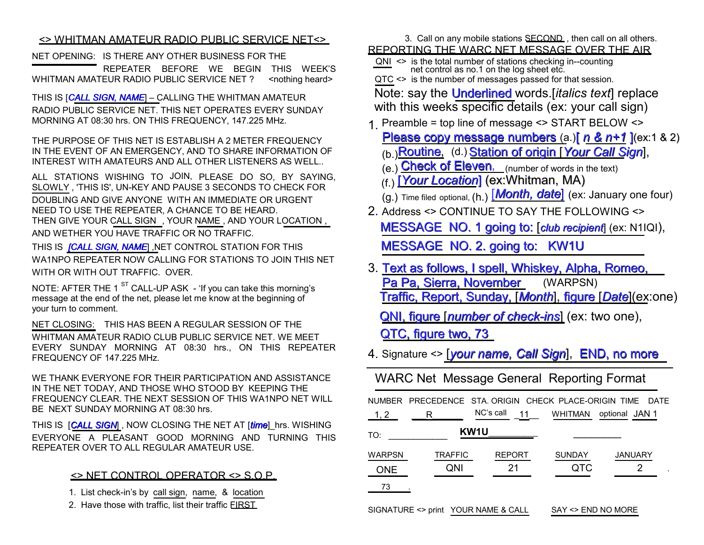## <> WHITMAN AMATEUR RADIO PUBLIC SERVICE NET<>

NET OPENING: IS THERE ANY OTHER BUSINESS FOR THE

 REPEATER BEFORE WE BEGIN THIS WEEK'S WHITMAN AMATEUR RADIO PUBLIC SERVICE NET ? <nothing heard>

THIS IS [*CALL SIGN, NAME*] – CALLING THE WHITMAN AMATEUR RADIO PUBLIC SERVICE NET. THIS NET OPERATES EVERY SUNDAY MORNING AT 08:30 hrs. ON THIS FREQUENCY, 147.225 MHz.

THE PURPOSE OF THIS NET IS ESTABLISH A 2 METER FREQUENCY IN THE EVENT OF AN EMERGENCY, AND TO SHARE INFORMATION OF INTEREST WITH AMATEURS AND ALL OTHER LISTENERS AS WELL..

ALL STATIONS WISHING TO JOIN, PLEASE DO SO, BY SAYING, SLOWLY , 'THIS IS', UN-KEY AND PAUSE 3 SECONDS TO CHECK FOR

DOUBLING AND GIVE ANYONE WITH AN IMMEDIATE OR URGENT NEED TO USE THE REPEATER, A CHANCE TO BE HEARD. THEN GIVE YOUR CALL SIGN , YOUR NAME , AND YOUR LOCATION ,

AND WETHER YOU HAVE TRAFFIC OR NO TRAFFIC.

THIS IS *[CALL SIGN, NAME*] ,NET CONTROL STATION FOR THIS WA1NPO REPEATER NOW CALLING FOR STATIONS TO JOIN THIS NET WITH OR WITH OUT TRAFFIC. OVER.

NOTE: AFTER THE 1 $^{ST}$  CALL-UP ASK - 'If you can take this morning's message at the end of the net, please let me know at the beginning of your turn to comment.

NET CLOSING: THIS HAS BEEN A REGULAR SESSION OF THE WHITMAN AMATEUR RADIO CLUB PUBLIC SERVICE NET. WE MEET EVERY SUNDAY MORNING AT 08:30 hrs., ON THIS REPEATER FREQUENCY OF 147.225 MHz.

WE THANK EVERYONE FOR THEIR PARTICIPATION AND ASSISTANCE IN THE NET TODAY, AND THOSE WHO STOOD BY KEEPING THE FREQUENCY CLEAR. THE NEXT SESSION OF THIS WA1NPO NET WILL BE NEXT SUNDAY MORNING AT 08:30 hrs.

THIS IS **CALL SIGN**, NOW CLOSING THE NET AT [*time*] hrs. WISHING EVERYONE A PLEASANT GOOD MORNING AND TURNING THIS REPEATER OVER TO ALL REGULAR AMATEUR USE.

## $\leq$  NET CONTROL OPERATOR  $\leq$  S.O.P.

1. List check-in's by call sign, name, & location

2. Have those with traffic, list their traffic EIRST

 3. Call on any mobile stations SECOND , then call on all others. REPORTING THE WARC NET MESSAGE OVER THE AIR

 QNI <> is the total number of stations checking in--counting net control as no.1 on the log sheet etc.

QTC <> is the number of messages passed for that session.

Note: say the Underlined words.[*italics text*] replace with this weeks specific details (ex: your call sign)

1. Preamble = top line of message <> START BELOW <> Please copy message numbers (a.)[ *n & n+1* ](ex:1 & 2)

- (b.)Routine, (d.) Station of origin [*Your Call Sign*],
- $(e_i)$  Check of Eleven, (number of words in the text)
- (f.) [*Your Location*] (ex:Whitman, MA)

(g.) Time filed optional, (h.) [*Month, date*] (ex: January one four)

- 2. Address <> CONTINUE TO SAY THE FOLLOWING <> MESSAGE NO. 1 going to: [*club recipient*] (ex: N1IQI), MESSAGE NO. 2. going to: KW1U
- 3. Text as follows, I spell, Whiskey, Alpha, Romeo, Pa Pa, Sierra, November (WARPSN) Traffic, Report, Sunday, [*Month*], figure [*Date*](ex:one)

QNI, figure [*number of check-ins*] (ex: two one),

QTC, figure two, 73

4. Signature <> [*your name, Call Sign*], END, no more

WARC Net Message General Reporting Format

|                                                           |                       |                     |                      | NUMBER PRECEDENCE STA. ORIGIN CHECK PLACE-ORIGIN TIME DATE |  |  |
|-----------------------------------------------------------|-----------------------|---------------------|----------------------|------------------------------------------------------------|--|--|
| 1, 2                                                      | R                     | NC's call           | 11<br><b>WHITMAN</b> | optional JAN 1                                             |  |  |
| TO:                                                       |                       | KW <sub>1U</sub>    |                      |                                                            |  |  |
| <b>WARPSN</b><br><b>ONE</b>                               | <b>TRAFFIC</b><br>QNI | <b>REPORT</b><br>21 | <b>SUNDAY</b><br>QTC | <b>JANUARY</b><br>2                                        |  |  |
| 73                                                        |                       |                     |                      |                                                            |  |  |
| SIGNATURE <> print YOUR NAME & CALL<br>SAY <> END NO MORE |                       |                     |                      |                                                            |  |  |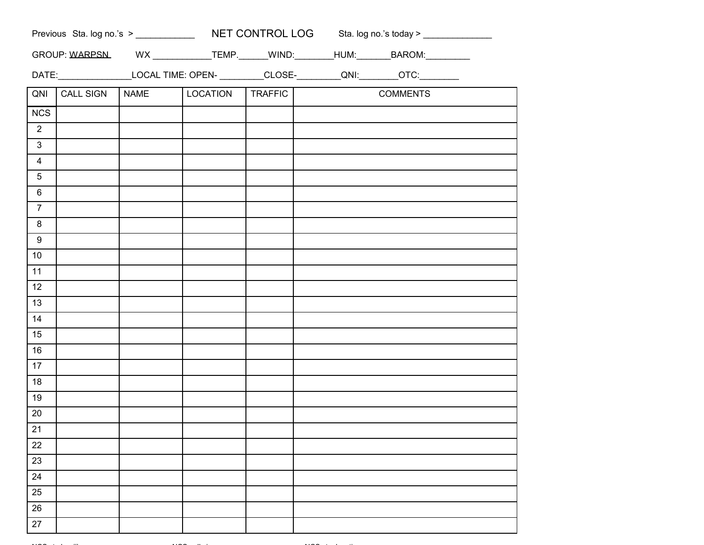|                |                  |             |          |         |  | GROUP: WARPSN________________________TEMP.________WIND:_________HUM:_________BAROM:___________ |  |
|----------------|------------------|-------------|----------|---------|--|------------------------------------------------------------------------------------------------|--|
|                |                  |             |          |         |  | DATE:___________________LOCAL TIME: OPEN- __________CLOSE-_________QNI:_________OTC:_________  |  |
| QNI            | <b>CALL SIGN</b> | <b>NAME</b> | LOCATION | TRAFFIC |  | <b>COMMENTS</b>                                                                                |  |
| <b>NCS</b>     |                  |             |          |         |  |                                                                                                |  |
| $\overline{2}$ |                  |             |          |         |  |                                                                                                |  |
| $\mathbf{3}$   |                  |             |          |         |  |                                                                                                |  |
| $\overline{4}$ |                  |             |          |         |  |                                                                                                |  |
| 5              |                  |             |          |         |  |                                                                                                |  |
| 6              |                  |             |          |         |  |                                                                                                |  |
| 7 <sup>1</sup> |                  |             |          |         |  |                                                                                                |  |
| 8              |                  |             |          |         |  |                                                                                                |  |
| 9              |                  |             |          |         |  |                                                                                                |  |
| 10             |                  |             |          |         |  |                                                                                                |  |
| 11             |                  |             |          |         |  |                                                                                                |  |
| 12             |                  |             |          |         |  |                                                                                                |  |
| 13             |                  |             |          |         |  |                                                                                                |  |
| 14             |                  |             |          |         |  |                                                                                                |  |
| 15             |                  |             |          |         |  |                                                                                                |  |
| 16             |                  |             |          |         |  |                                                                                                |  |
| 17             |                  |             |          |         |  |                                                                                                |  |
| 18             |                  |             |          |         |  |                                                                                                |  |
| 19             |                  |             |          |         |  |                                                                                                |  |
| 20             |                  |             |          |         |  |                                                                                                |  |
| 21             |                  |             |          |         |  |                                                                                                |  |
| 22             |                  |             |          |         |  |                                                                                                |  |
| 23             |                  |             |          |         |  |                                                                                                |  |
| 24             |                  |             |          |         |  |                                                                                                |  |
| 25             |                  |             |          |         |  |                                                                                                |  |
| 26             |                  |             |          |         |  |                                                                                                |  |
| 27             |                  |             |          |         |  |                                                                                                |  |